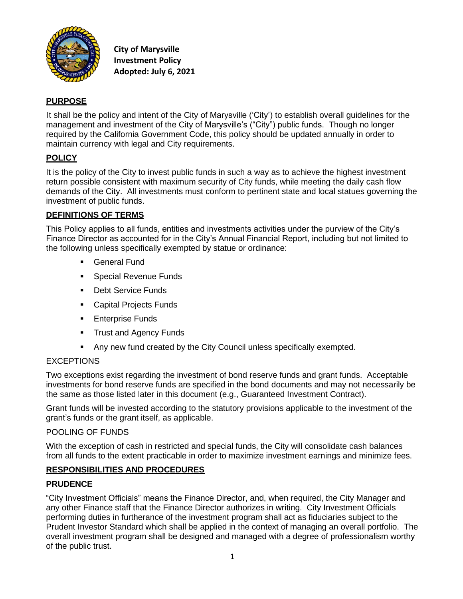

**City of Marysville Investment Policy Adopted: July 6, 2021**

# **PURPOSE**

It shall be the policy and intent of the City of Marysville ('City') to establish overall guidelines for the management and investment of the City of Marysville's ("City") public funds. Though no longer required by the California Government Code, this policy should be updated annually in order to maintain currency with legal and City requirements.

# **POLICY**

It is the policy of the City to invest public funds in such a way as to achieve the highest investment return possible consistent with maximum security of City funds, while meeting the daily cash flow demands of the City. All investments must conform to pertinent state and local statues governing the investment of public funds.

# **DEFINITIONS OF TERMS**

This Policy applies to all funds, entities and investments activities under the purview of the City's Finance Director as accounted for in the City's Annual Financial Report, including but not limited to the following unless specifically exempted by statue or ordinance:

- General Fund
- **Exercial Revenue Funds**
- Debt Service Funds
- Capital Projects Funds
- **Enterprise Funds**
- **•** Trust and Agency Funds
- Any new fund created by the City Council unless specifically exempted.

## **EXCEPTIONS**

Two exceptions exist regarding the investment of bond reserve funds and grant funds. Acceptable investments for bond reserve funds are specified in the bond documents and may not necessarily be the same as those listed later in this document (e.g., Guaranteed Investment Contract).

Grant funds will be invested according to the statutory provisions applicable to the investment of the grant's funds or the grant itself, as applicable.

## POOLING OF FUNDS

With the exception of cash in restricted and special funds, the City will consolidate cash balances from all funds to the extent practicable in order to maximize investment earnings and minimize fees.

## **RESPONSIBILITIES AND PROCEDURES**

## **PRUDENCE**

"City Investment Officials" means the Finance Director, and, when required, the City Manager and any other Finance staff that the Finance Director authorizes in writing. City Investment Officials performing duties in furtherance of the investment program shall act as fiduciaries subject to the Prudent Investor Standard which shall be applied in the context of managing an overall portfolio. The overall investment program shall be designed and managed with a degree of professionalism worthy of the public trust.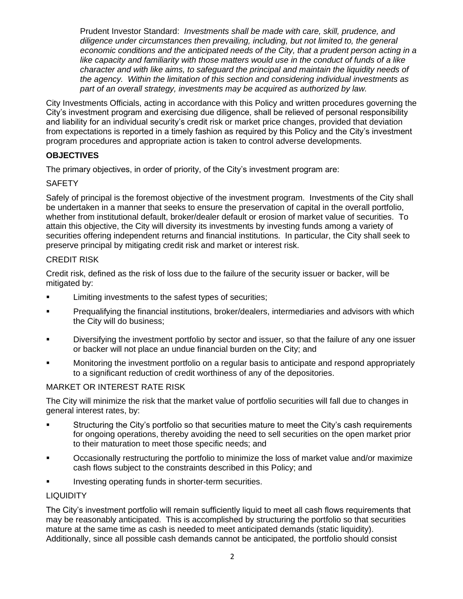Prudent Investor Standard: *Investments shall be made with care, skill, prudence, and diligence under circumstances then prevailing, including, but not limited to, the general economic conditions and the anticipated needs of the City, that a prudent person acting in a like capacity and familiarity with those matters would use in the conduct of funds of a like character and with like aims, to safeguard the principal and maintain the liquidity needs of the agency. Within the limitation of this section and considering individual investments as part of an overall strategy, investments may be acquired as authorized by law.*

City Investments Officials, acting in accordance with this Policy and written procedures governing the City's investment program and exercising due diligence, shall be relieved of personal responsibility and liability for an individual security's credit risk or market price changes, provided that deviation from expectations is reported in a timely fashion as required by this Policy and the City's investment program procedures and appropriate action is taken to control adverse developments.

## **OBJECTIVES**

The primary objectives, in order of priority, of the City's investment program are:

## **SAFETY**

Safely of principal is the foremost objective of the investment program. Investments of the City shall be undertaken in a manner that seeks to ensure the preservation of capital in the overall portfolio, whether from institutional default, broker/dealer default or erosion of market value of securities. To attain this objective, the City will diversity its investments by investing funds among a variety of securities offering independent returns and financial institutions. In particular, the City shall seek to preserve principal by mitigating credit risk and market or interest risk.

## CREDIT RISK

Credit risk, defined as the risk of loss due to the failure of the security issuer or backer, will be mitigated by:

- **EXECUTE:** Limiting investments to the safest types of securities;
- **Prequalifying the financial institutions, broker/dealers, intermediaries and advisors with which** the City will do business;
- Diversifying the investment portfolio by sector and issuer, so that the failure of any one issuer or backer will not place an undue financial burden on the City; and
- Monitoring the investment portfolio on a regular basis to anticipate and respond appropriately to a significant reduction of credit worthiness of any of the depositories.

## MARKET OR INTEREST RATE RISK

The City will minimize the risk that the market value of portfolio securities will fall due to changes in general interest rates, by:

- Structuring the City's portfolio so that securities mature to meet the City's cash requirements for ongoing operations, thereby avoiding the need to sell securities on the open market prior to their maturation to meet those specific needs; and
- Occasionally restructuring the portfolio to minimize the loss of market value and/or maximize cash flows subject to the constraints described in this Policy; and
- Investing operating funds in shorter-term securities.

## **LIQUIDITY**

The City's investment portfolio will remain sufficiently liquid to meet all cash flows requirements that may be reasonably anticipated. This is accomplished by structuring the portfolio so that securities mature at the same time as cash is needed to meet anticipated demands (static liquidity). Additionally, since all possible cash demands cannot be anticipated, the portfolio should consist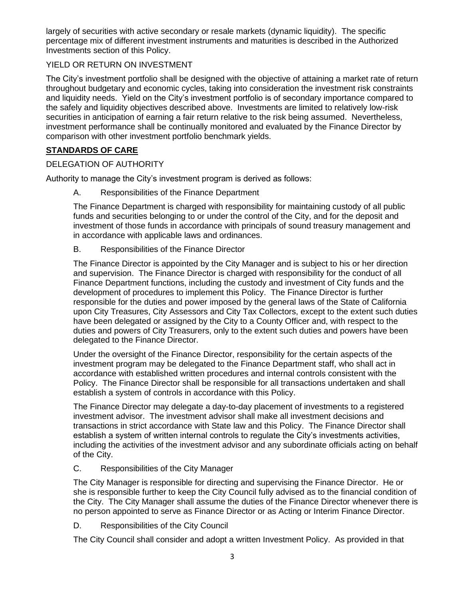largely of securities with active secondary or resale markets (dynamic liquidity). The specific percentage mix of different investment instruments and maturities is described in the Authorized Investments section of this Policy.

## YIELD OR RETURN ON INVESTMENT

The City's investment portfolio shall be designed with the objective of attaining a market rate of return throughout budgetary and economic cycles, taking into consideration the investment risk constraints and liquidity needs. Yield on the City's investment portfolio is of secondary importance compared to the safely and liquidity objectives described above. Investments are limited to relatively low-risk securities in anticipation of earning a fair return relative to the risk being assumed. Nevertheless, investment performance shall be continually monitored and evaluated by the Finance Director by comparison with other investment portfolio benchmark yields.

# **STANDARDS OF CARE**

## DELEGATION OF AUTHORITY

Authority to manage the City's investment program is derived as follows:

A. Responsibilities of the Finance Department

The Finance Department is charged with responsibility for maintaining custody of all public funds and securities belonging to or under the control of the City, and for the deposit and investment of those funds in accordance with principals of sound treasury management and in accordance with applicable laws and ordinances.

B. Responsibilities of the Finance Director

The Finance Director is appointed by the City Manager and is subject to his or her direction and supervision. The Finance Director is charged with responsibility for the conduct of all Finance Department functions, including the custody and investment of City funds and the development of procedures to implement this Policy. The Finance Director is further responsible for the duties and power imposed by the general laws of the State of California upon City Treasures, City Assessors and City Tax Collectors, except to the extent such duties have been delegated or assigned by the City to a County Officer and, with respect to the duties and powers of City Treasurers, only to the extent such duties and powers have been delegated to the Finance Director.

Under the oversight of the Finance Director, responsibility for the certain aspects of the investment program may be delegated to the Finance Department staff, who shall act in accordance with established written procedures and internal controls consistent with the Policy. The Finance Director shall be responsible for all transactions undertaken and shall establish a system of controls in accordance with this Policy.

The Finance Director may delegate a day-to-day placement of investments to a registered investment advisor. The investment advisor shall make all investment decisions and transactions in strict accordance with State law and this Policy. The Finance Director shall establish a system of written internal controls to regulate the City's investments activities, including the activities of the investment advisor and any subordinate officials acting on behalf of the City.

## C. Responsibilities of the City Manager

The City Manager is responsible for directing and supervising the Finance Director. He or she is responsible further to keep the City Council fully advised as to the financial condition of the City. The City Manager shall assume the duties of the Finance Director whenever there is no person appointed to serve as Finance Director or as Acting or Interim Finance Director.

D. Responsibilities of the City Council

The City Council shall consider and adopt a written Investment Policy. As provided in that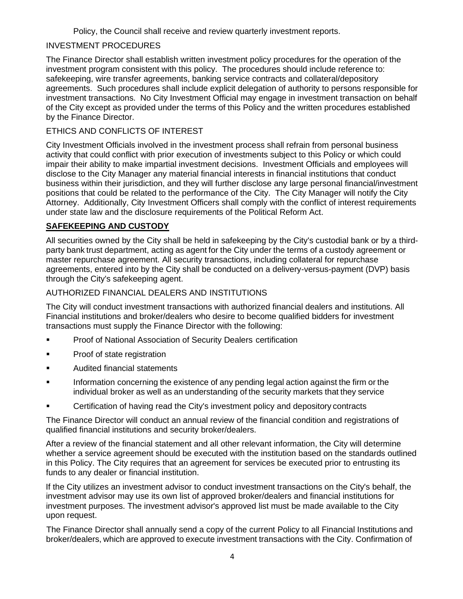Policy, the Council shall receive and review quarterly investment reports.

# INVESTMENT PROCEDURES

The Finance Director shall establish written investment policy procedures for the operation of the investment program consistent with this policy. The procedures should include reference to: safekeeping, wire transfer agreements, banking service contracts and collateral/depository agreements. Such procedures shall include explicit delegation of authority to persons responsible for investment transactions. No City Investment Official may engage in investment transaction on behalf of the City except as provided under the terms of this Policy and the written procedures established by the Finance Director.

# ETHICS AND CONFLICTS OF INTEREST

City Investment Officials involved in the investment process shall refrain from personal business activity that could conflict with prior execution of investments subject to this Policy or which could impair their ability to make impartial investment decisions. Investment Officials and employees will disclose to the City Manager any material financial interests in financial institutions that conduct business within their jurisdiction, and they will further disclose any large personal financial/investment positions that could be related to the performance of the City. The City Manager will notify the City Attorney. Additionally, City Investment Officers shall comply with the conflict of interest requirements under state law and the disclosure requirements of the Political Reform Act.

# **SAFEKEEPING AND CUSTODY**

All securities owned by the City shall be held in safekeeping by the City's custodial bank or by a thirdparty bank trust department, acting as agent for the City under the terms of a custody agreement or master repurchase agreement. All security transactions, including collateral for repurchase agreements, entered into by the City shall be conducted on a delivery-versus-payment (DVP) basis through the City's safekeeping agent.

# AUTHORIZED FINANCIAL DEALERS AND INSTITUTIONS

The City will conduct investment transactions with authorized financial dealers and institutions. All Financial institutions and broker/dealers who desire to become qualified bidders for investment transactions must supply the Finance Director with the following:

- Proof of National Association of Security Dealers certification
- Proof of state registration
- Audited financial statements
- Information concerning the existence of any pending legal action against the firm or the individual broker as well as an understanding of the security markets that they service
- Certification of having read the City's investment policy and depository contracts

The Finance Director will conduct an annual review of the financial condition and registrations of qualified financial institutions and security broker/dealers.

After a review of the financial statement and all other relevant information, the City will determine whether a service agreement should be executed with the institution based on the standards outlined in this Policy. The City requires that an agreement for services be executed prior to entrusting its funds to any dealer or financial institution.

If the City utilizes an investment advisor to conduct investment transactions on the City's behalf, the investment advisor may use its own list of approved broker/dealers and financial institutions for investment purposes. The investment advisor's approved list must be made available to the City upon request.

The Finance Director shall annually send a copy of the current Policy to all Financial Institutions and broker/dealers, which are approved to execute investment transactions with the City. Confirmation of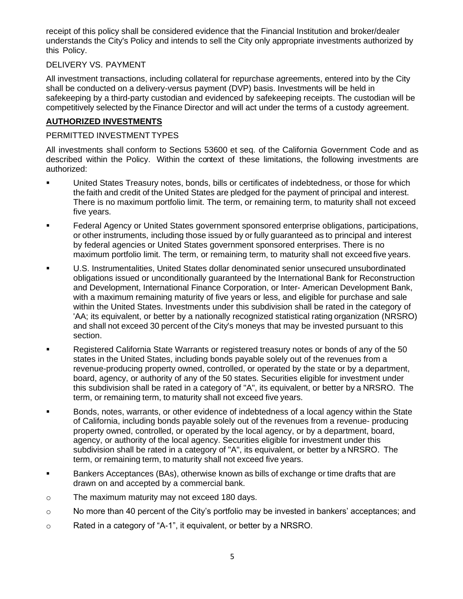receipt of this policy shall be considered evidence that the Financial Institution and broker/dealer understands the City's Policy and intends to sell the City only appropriate investments authorized by this Policy.

## DELIVERY VS. PAYMENT

All investment transactions, including collateral for repurchase agreements, entered into by the City shall be conducted on a delivery-versus payment (DVP) basis. Investments will be held in safekeeping by a third-party custodian and evidenced by safekeeping receipts. The custodian will be competitively selected by the Finance Director and will act under the terms of a custody agreement.

## **AUTHORIZED INVESTMENTS**

#### PERMITTED INVESTMENT TYPES

All investments shall conform to Sections 53600 et seq. of the California Government Code and as described within the Policy. Within the context of these limitations, the following investments are authorized:

- United States Treasury notes, bonds, bills or certificates of indebtedness, or those for which the faith and credit of the United States are pledged for the payment of principal and interest. There is no maximum portfolio limit. The term, or remaining term, to maturity shall not exceed five years.
- Federal Agency or United States government sponsored enterprise obligations, participations, or other instruments, including those issued by or fully guaranteed as to principal and interest by federal agencies or United States government sponsored enterprises. There is no maximum portfolio limit. The term, or remaining term, to maturity shall not exceed five years.
- U.S. Instrumentalities, United States dollar denominated senior unsecured unsubordinated obligations issued or unconditionally guaranteed by the International Bank for Reconstruction and Development, International Finance Corporation, or Inter- American Development Bank, with a maximum remaining maturity of five years or less, and eligible for purchase and sale within the United States. Investments under this subdivision shall be rated in the category of 'AA; its equivalent, or better by a nationally recognized statistical rating organization (NRSRO) and shall not exceed 30 percent of the City's moneys that may be invested pursuant to this section.
- Registered California State Warrants or registered treasury notes or bonds of any of the 50 states in the United States, including bonds payable solely out of the revenues from a revenue-producing property owned, controlled, or operated by the state or by a department, board, agency, or authority of any of the 50 states. Securities eligible for investment under this subdivision shall be rated in a category of "A", its equivalent, or better by a NRSRO. The term, or remaining term, to maturity shall not exceed five years.
- Bonds, notes, warrants, or other evidence of indebtedness of a local agency within the State of California, including bonds payable solely out of the revenues from a revenue- producing property owned, controlled, or operated by the local agency, or by a department, board, agency, or authority of the local agency. Securities eligible for investment under this subdivision shall be rated in a category of "A", its equivalent, or better by a NRSRO. The term, or remaining term, to maturity shall not exceed five years.
- Bankers Acceptances (BAs), otherwise known as bills of exchange or time drafts that are drawn on and accepted by a commercial bank.
- o The maximum maturity may not exceed 180 days.
- o No more than 40 percent of the City's portfolio may be invested in bankers' acceptances; and
- o Rated in a category of "A-1", it equivalent, or better by a NRSRO.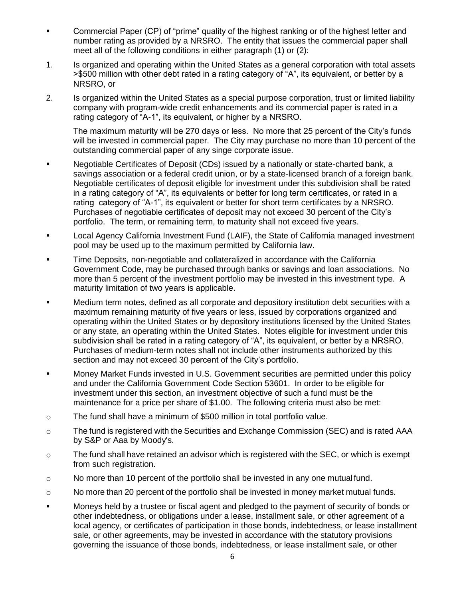- Commercial Paper (CP) of "prime" quality of the highest ranking or of the highest letter and number rating as provided by a NRSRO. The entity that issues the commercial paper shall meet all of the following conditions in either paragraph (1) or (2):
- 1. Is organized and operating within the United States as a general corporation with total assets >\$500 million with other debt rated in a rating category of "A", its equivalent, or better by a NRSRO, or
- 2. Is organized within the United States as a special purpose corporation, trust or limited liability company with program-wide credit enhancements and its commercial paper is rated in a rating category of "A-1", its equivalent, or higher by a NRSRO.

The maximum maturity will be 270 days or less. No more that 25 percent of the City's funds will be invested in commercial paper. The City may purchase no more than 10 percent of the outstanding commercial paper of any singe corporate issue.

- Negotiable Certificates of Deposit (CDs) issued by a nationally or state-charted bank, a savings association or a federal credit union, or by a state-licensed branch of a foreign bank. Negotiable certificates of deposit eligible for investment under this subdivision shall be rated in a rating category of "A", its equivalents or better for long term certificates, or rated in a rating category of "A-1", its equivalent or better for short term certificates by a NRSRO. Purchases of negotiable certificates of deposit may not exceed 30 percent of the City's portfolio. The term, or remaining term, to maturity shall not exceed five years.
- Local Agency California Investment Fund (LAIF), the State of California managed investment pool may be used up to the maximum permitted by California law.
- Time Deposits, non-negotiable and collateralized in accordance with the California Government Code, may be purchased through banks or savings and loan associations. No more than 5 percent of the investment portfolio may be invested in this investment type. A maturity limitation of two years is applicable.
- Medium term notes, defined as all corporate and depository institution debt securities with a maximum remaining maturity of five years or less, issued by corporations organized and operating within the United States or by depository institutions licensed by the United States or any state, an operating within the United States. Notes eligible for investment under this subdivision shall be rated in a rating category of "A", its equivalent, or better by a NRSRO. Purchases of medium-term notes shall not include other instruments authorized by this section and may not exceed 30 percent of the City's portfolio.
- Money Market Funds invested in U.S. Government securities are permitted under this policy and under the California Government Code Section 53601. In order to be eligible for investment under this section, an investment objective of such a fund must be the maintenance for a price per share of \$1.00. The following criteria must also be met:
- o The fund shall have a minimum of \$500 million in total portfolio value.
- o The fund is registered with the Securities and Exchange Commission (SEC) and is rated AAA by S&P or Aaa by Moody's.
- $\circ$  The fund shall have retained an advisor which is registered with the SEC, or which is exempt from such registration.
- $\circ$  No more than 10 percent of the portfolio shall be invested in any one mutual fund.
- $\circ$  No more than 20 percent of the portfolio shall be invested in money market mutual funds.
- Moneys held by a trustee or fiscal agent and pledged to the payment of security of bonds or other indebtedness, or obligations under a lease, installment sale, or other agreement of a local agency, or certificates of participation in those bonds, indebtedness, or lease installment sale, or other agreements, may be invested in accordance with the statutory provisions governing the issuance of those bonds, indebtedness, or lease installment sale, or other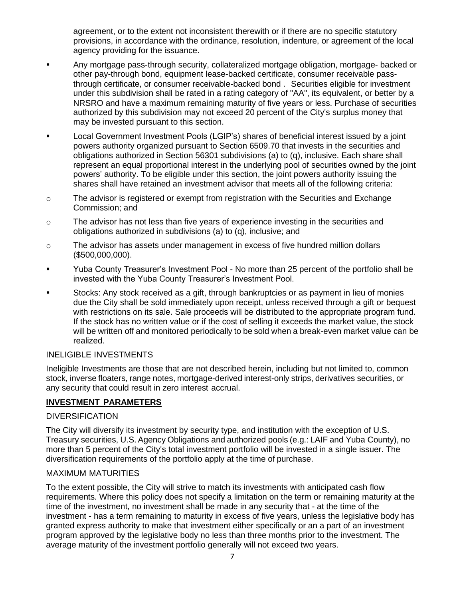agreement, or to the extent not inconsistent therewith or if there are no specific statutory provisions, in accordance with the ordinance, resolution, indenture, or agreement of the local agency providing for the issuance.

- Any mortgage pass-through security, collateralized mortgage obligation, mortgage- backed or other pay-through bond, equipment lease-backed certificate, consumer receivable passthrough certificate, or consumer receivable-backed bond . Securities eligible for investment under this subdivision shall be rated in a rating category of "AA", its equivalent, or better by a NRSRO and have a maximum remaining maturity of five years or less. Purchase of securities authorized by this subdivision may not exceed 20 percent of the City's surplus money that may be invested pursuant to this section.
- Local Government Investment Pools (LGIP's) shares of beneficial interest issued by a joint powers authority organized pursuant to Section 6509.70 that invests in the securities and obligations authorized in Section 56301 subdivisions (a) to (q), inclusive. Each share shall represent an equal proportional interest in the underlying pool of securities owned by the joint powers' authority. To be eligible under this section, the joint powers authority issuing the shares shall have retained an investment advisor that meets all of the following criteria:
- o The advisor is registered or exempt from registration with the Securities and Exchange Commission; and
- $\circ$  The advisor has not less than five years of experience investing in the securities and obligations authorized in subdivisions (a) to (q), inclusive; and
- $\circ$  The advisor has assets under management in excess of five hundred million dollars (\$500,000,000).
- Yuba County Treasurer's Investment Pool No more than 25 percent of the portfolio shall be invested with the Yuba County Treasurer's Investment Pool.
- Stocks: Any stock received as a gift, through bankruptcies or as payment in lieu of monies due the City shall be sold immediately upon receipt, unless received through a gift or bequest with restrictions on its sale. Sale proceeds will be distributed to the appropriate program fund. If the stock has no written value or if the cost of selling it exceeds the market value, the stock will be written off and monitored periodically to be sold when a break-even market value can be realized.

## INELIGIBLE INVESTMENTS

Ineligible Investments are those that are not described herein, including but not limited to, common stock, inverse floaters, range notes, mortgage-derived interest-only strips, derivatives securities, or any security that could result in zero interest accrual.

# **INVESTMENT PARAMETERS**

## **DIVERSIFICATION**

The City will diversify its investment by security type, and institution with the exception of U.S. Treasury securities, U.S. Agency Obligations and authorized pools (e.g.: LAIF and Yuba County), no more than 5 percent of the City's total investment portfolio will be invested in a single issuer. The diversification requirements of the portfolio apply at the time of purchase.

#### MAXIMUM MATURITIES

To the extent possible, the City will strive to match its investments with anticipated cash flow requirements. Where this policy does not specify a limitation on the term or remaining maturity at the time of the investment, no investment shall be made in any security that - at the time of the investment - has a term remaining to maturity in excess of five years, unless the legislative body has granted express authority to make that investment either specifically or an a part of an investment program approved by the legislative body no less than three months prior to the investment. The average maturity of the investment portfolio generally will not exceed two years.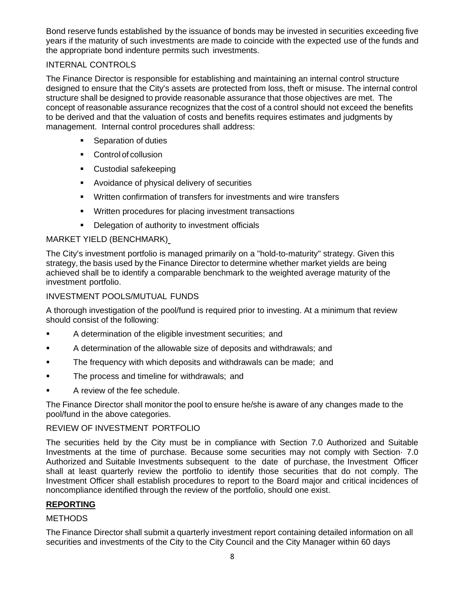Bond reserve funds established by the issuance of bonds may be invested in securities exceeding five years if the maturity of such investments are made to coincide with the expected use of the funds and the appropriate bond indenture permits such investments.

# INTERNAL CONTROLS

The Finance Director is responsible for establishing and maintaining an internal control structure designed to ensure that the City's assets are protected from loss, theft or misuse. The internal control structure shall be designed to provide reasonable assurance that those objectives are met. The concept of reasonable assurance recognizes that the cost of a control should not exceed the benefits to be derived and that the valuation of costs and benefits requires estimates and judgments by management. Internal control procedures shall address:

- Separation of duties
- Control of collusion
- Custodial safekeeping
- Avoidance of physical delivery of securities
- Written confirmation of transfers for investments and wire transfers
- Written procedures for placing investment transactions
- **•** Delegation of authority to investment officials

## MARKET YIELD (BENCHMARK)

The City's investment portfolio is managed primarily on a "hold-to-maturity" strategy. Given this strategy, the basis used by the Finance Director to determine whether market yields are being achieved shall be to identify a comparable benchmark to the weighted average maturity of the investment portfolio.

## INVESTMENT POOLS/MUTUAL FUNDS

A thorough investigation of the pool/fund is required prior to investing. At a minimum that review should consist of the following:

- A determination of the eligible investment securities; and
- A determination of the allowable size of deposits and withdrawals; and
- The frequency with which deposits and withdrawals can be made; and
- The process and timeline for withdrawals; and
- A review of the fee schedule.

The Finance Director shall monitor the pool to ensure he/she is aware of any changes made to the pool/fund in the above categories.

## REVIEW OF INVESTMENT PORTFOLIO

The securities held by the City must be in compliance with Section 7.0 Authorized and Suitable Investments at the time of purchase. Because some securities may not comply with Section· 7.0 Authorized and Suitable Investments subsequent to the date of purchase, the Investment Officer shall at least quarterly review the portfolio to identify those securities that do not comply. The Investment Officer shall establish procedures to report to the Board major and critical incidences of noncompliance identified through the review of the portfolio, should one exist.

## **REPORTING**

## **METHODS**

The Finance Director shall submit a quarterly investment report containing detailed information on all securities and investments of the City to the City Council and the City Manager within 60 days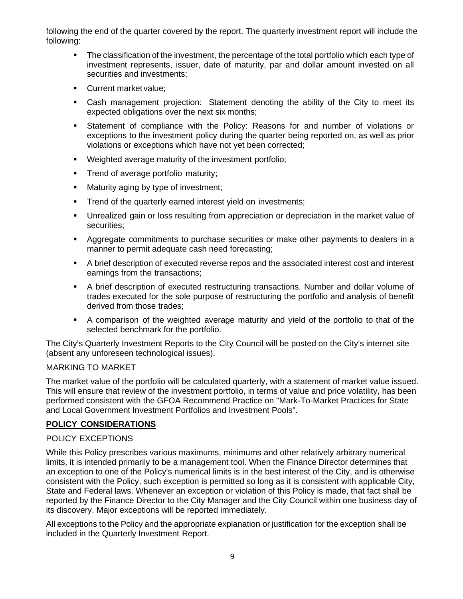following the end of the quarter covered by the report. The quarterly investment report will include the following:

- The classification of the investment, the percentage of the total portfolio which each type of investment represents, issuer, date of maturity, par and dollar amount invested on all securities and investments;
- Current market value:
- **•** Cash management projection: Statement denoting the ability of the City to meet its expected obligations over the next six months;
- Statement of compliance with the Policy: Reasons for and number of violations or exceptions to the investment policy during the quarter being reported on, as well as prior violations or exceptions which have not yet been corrected;
- Weighted average maturity of the investment portfolio:
- **•** Trend of average portfolio maturity;
- Maturity aging by type of investment;
- Trend of the quarterly earned interest yield on investments;
- Unrealized gain or loss resulting from appreciation or depreciation in the market value of securities;
- Aggregate commitments to purchase securities or make other payments to dealers in a manner to permit adequate cash need forecasting;
- A brief description of executed reverse repos and the associated interest cost and interest earnings from the transactions;
- A brief description of executed restructuring transactions. Number and dollar volume of trades executed for the sole purpose of restructuring the portfolio and analysis of benefit derived from those trades;
- A comparison of the weighted average maturity and yield of the portfolio to that of the selected benchmark for the portfolio.

The City's Quarterly Investment Reports to the City Council will be posted on the City's internet site (absent any unforeseen technological issues).

## MARKING TO MARKET

The market value of the portfolio will be calculated quarterly, with a statement of market value issued. This will ensure that review of the investment portfolio, in terms of value and price volatility, has been performed consistent with the GFOA Recommend Practice on "Mark-To-Market Practices for State and Local Government Investment Portfolios and Investment Pools".

# **POLICY CONSIDERATIONS**

# POLICY EXCEPTIONS

While this Policy prescribes various maximums, minimums and other relatively arbitrary numerical limits, it is intended primarily to be a management tool. When the Finance Director determines that an exception to one of the Policy's numerical limits is in the best interest of the City, and is otherwise consistent with the Policy, such exception is permitted so long as it is consistent with applicable City, State and Federal laws. Whenever an exception or violation of this Policy is made, that fact shall be reported by the Finance Director to the City Manager and the City Council within one business day of its discovery. Major exceptions will be reported immediately.

All exceptions to the Policy and the appropriate explanation or justification for the exception shall be included in the Quarterly Investment Report.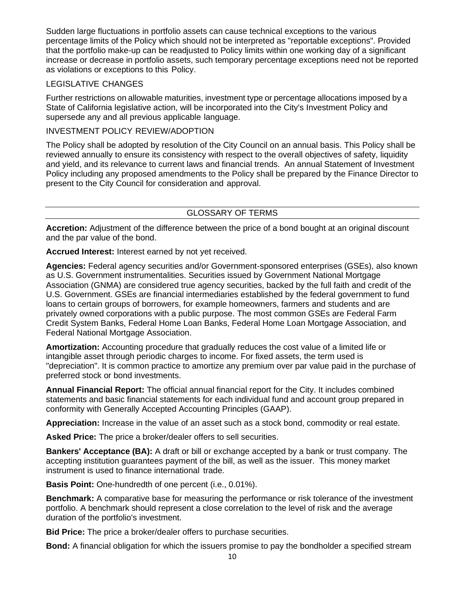Sudden large fluctuations in portfolio assets can cause technical exceptions to the various percentage limits of the Policy which should not be interpreted as "reportable exceptions". Provided that the portfolio make-up can be readjusted to Policy limits within one working day of a significant increase or decrease in portfolio assets, such temporary percentage exceptions need not be reported as violations or exceptions to this Policy.

#### LEGISLATIVE CHANGES

Further restrictions on allowable maturities, investment type or percentage allocations imposed by a State of California legislative action, will be incorporated into the City's Investment Policy and supersede any and all previous applicable language.

## INVESTMENT POLICY REVIEW/ADOPTION

The Policy shall be adopted by resolution of the City Council on an annual basis. This Policy shall be reviewed annually to ensure its consistency with respect to the overall objectives of safety, liquidity and yield, and its relevance to current laws and financial trends. An annual Statement of Investment Policy including any proposed amendments to the Policy shall be prepared by the Finance Director to present to the City Council for consideration and approval.

# GLOSSARY OF TERMS

**Accretion:** Adjustment of the difference between the price of a bond bought at an original discount and the par value of the bond.

**Accrued Interest:** Interest earned by not yet received.

**Agencies:** Federal agency securities and/or Government-sponsored enterprises (GSEs), also known as U.S. Government instrumentalities. Securities issued by Government National Mortgage Association (GNMA) are considered true agency securities, backed by the full faith and credit of the U.S. Government. GSEs are financial intermediaries established by the federal government to fund loans to certain groups of borrowers, for example homeowners, farmers and students and are privately owned corporations with a public purpose. The most common GSEs are Federal Farm Credit System Banks, Federal Home Loan Banks, Federal Home Loan Mortgage Association, and Federal National Mortgage Association.

**Amortization:** Accounting procedure that gradually reduces the cost value of a limited life or intangible asset through periodic charges to income. For fixed assets, the term used is "depreciation". It is common practice to amortize any premium over par value paid in the purchase of preferred stock or bond investments.

**Annual Financial Report:** The official annual financial report for the City. It includes combined statements and basic financial statements for each individual fund and account group prepared in conformity with Generally Accepted Accounting Principles (GAAP).

**Appreciation:** Increase in the value of an asset such as a stock bond, commodity or real estate.

**Asked Price:** The price a broker/dealer offers to sell securities.

**Bankers' Acceptance (BA):** A draft or bill or exchange accepted by a bank or trust company. The accepting institution guarantees payment of the bill, as well as the issuer. This money market instrument is used to finance international trade.

**Basis Point:** One-hundredth of one percent (i.e., 0.01%).

**Benchmark:** A comparative base for measuring the performance or risk tolerance of the investment portfolio. A benchmark should represent a close correlation to the level of risk and the average duration of the portfolio's investment.

**Bid Price:** The price a broker/dealer offers to purchase securities.

**Bond:** A financial obligation for which the issuers promise to pay the bondholder a specified stream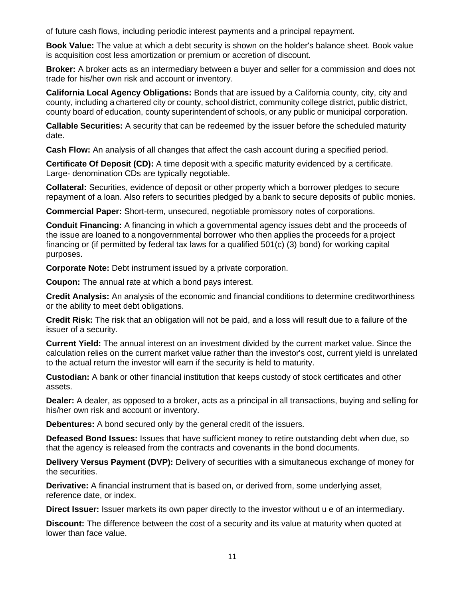of future cash flows, including periodic interest payments and a principal repayment.

**Book Value:** The value at which a debt security is shown on the holder's balance sheet. Book value is acquisition cost less amortization or premium or accretion of discount.

**Broker:** A broker acts as an intermediary between a buyer and seller for a commission and does not trade for his/her own risk and account or inventory.

**California Local Agency Obligations:** Bonds that are issued by a California county, city, city and county, including a chartered city or county, school district, community college district, public district, county board of education, county superintendent of schools, or any public or municipal corporation.

**Callable Securities:** A security that can be redeemed by the issuer before the scheduled maturity date.

**Cash Flow:** An analysis of all changes that affect the cash account during a specified period.

**Certificate Of Deposit (CD):** A time deposit with a specific maturity evidenced by a certificate. Large- denomination CDs are typically negotiable.

**Collateral:** Securities, evidence of deposit or other property which a borrower pledges to secure repayment of a loan. Also refers to securities pledged by a bank to secure deposits of public monies.

**Commercial Paper:** Short-term, unsecured, negotiable promissory notes of corporations.

**Conduit Financing:** A financing in which a governmental agency issues debt and the proceeds of the issue are loaned to a nongovernmental borrower who then applies the proceeds for a project financing or (if permitted by federal tax laws for a qualified 501(c) (3) bond) for working capital purposes.

**Corporate Note:** Debt instrument issued by a private corporation.

**Coupon:** The annual rate at which a bond pays interest.

**Credit Analysis:** An analysis of the economic and financial conditions to determine creditworthiness or the ability to meet debt obligations.

**Credit Risk:** The risk that an obligation will not be paid, and a loss will result due to a failure of the issuer of a security.

**Current Yield:** The annual interest on an investment divided by the current market value. Since the calculation relies on the current market value rather than the investor's cost, current yield is unrelated to the actual return the investor will earn if the security is held to maturity.

**Custodian:** A bank or other financial institution that keeps custody of stock certificates and other assets.

**Dealer:** A dealer, as opposed to a broker, acts as a principal in all transactions, buying and selling for his/her own risk and account or inventory.

**Debentures:** A bond secured only by the general credit of the issuers.

**Defeased Bond Issues:** Issues that have sufficient money to retire outstanding debt when due, so that the agency is released from the contracts and covenants in the bond documents.

**Delivery Versus Payment (DVP):** Delivery of securities with a simultaneous exchange of money for the securities.

**Derivative:** A financial instrument that is based on, or derived from, some underlying asset, reference date, or index.

**Direct Issuer:** Issuer markets its own paper directly to the investor without u e of an intermediary.

**Discount:** The difference between the cost of a security and its value at maturity when quoted at lower than face value.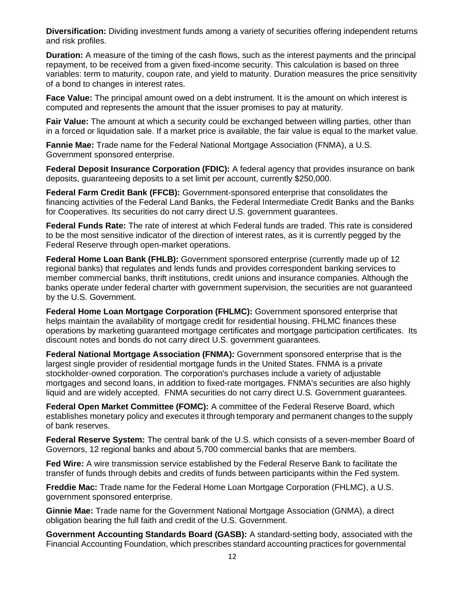**Diversification:** Dividing investment funds among a variety of securities offering independent returns and risk profiles.

**Duration:** A measure of the timing of the cash flows, such as the interest payments and the principal repayment, to be received from a given fixed-income security. This calculation is based on three variables: term to maturity, coupon rate, and yield to maturity. Duration measures the price sensitivity of a bond to changes in interest rates.

**Face Value:** The principal amount owed on a debt instrument. It is the amount on which interest is computed and represents the amount that the issuer promises to pay at maturity.

**Fair Value:** The amount at which a security could be exchanged between willing parties, other than in a forced or liquidation sale. If a market price is available, the fair value is equal to the market value.

**Fannie Mae:** Trade name for the Federal National Mortgage Association (FNMA), a U.S. Government sponsored enterprise.

**Federal Deposit Insurance Corporation (FDIC):** A federal agency that provides insurance on bank deposits, guaranteeing deposits to a set limit per account, currently \$250,000.

**Federal Farm Credit Bank (FFCB):** Government-sponsored enterprise that consolidates the financing activities of the Federal Land Banks, the Federal Intermediate Credit Banks and the Banks for Cooperatives. Its securities do not carry direct U.S. government guarantees.

**Federal Funds Rate:** The rate of interest at which Federal funds are traded. This rate is considered to be the most sensitive indicator of the direction of interest rates, as it is currently pegged by the Federal Reserve through open-market operations.

**Federal Home Loan Bank (FHLB):** Government sponsored enterprise (currently made up of 12 regional banks) that regulates and lends funds and provides correspondent banking services to member commercial banks, thrift institutions, credit unions and insurance companies. Although the banks operate under federal charter with government supervision, the securities are not guaranteed by the U.S. Government.

**Federal Home Loan Mortgage Corporation (FHLMC):** Government sponsored enterprise that helps maintain the availability of mortgage credit for residential housing. FHLMC finances these operations by marketing guaranteed mortgage certificates and mortgage participation certificates. Its discount notes and bonds do not carry direct U.S. government guarantees.

**Federal National Mortgage Association (FNMA):** Government sponsored enterprise that is the largest single provider of residential mortgage funds in the United States. FNMA is a private stockholder-owned corporation. The corporation's purchases include a variety of adjustable mortgages and second loans, in addition to fixed-rate mortgages. FNMA's securities are also highly liquid and are widely accepted. FNMA securities do not carry direct U.S. Government guarantees.

**Federal Open Market Committee (FOMC):** A committee of the Federal Reserve Board, which establishes monetary policy and executes it through temporary and permanent changes to the supply of bank reserves.

**Federal Reserve System:** The central bank of the U.S. which consists of a seven-member Board of Governors, 12 regional banks and about 5,700 commercial banks that are members.

**Fed Wire:** A wire transmission service established by the Federal Reserve Bank to facilitate the transfer of funds through debits and credits of funds between participants within the Fed system.

**Freddie Mac:** Trade name for the Federal Home Loan Mortgage Corporation (FHLMC), a U.S. government sponsored enterprise.

**Ginnie Mae:** Trade name for the Government National Mortgage Association (GNMA), a direct obligation bearing the full faith and credit of the U.S. Government.

**Government Accounting Standards Board (GASB):** A standard-setting body, associated with the Financial Accounting Foundation, which prescribes standard accounting practices for governmental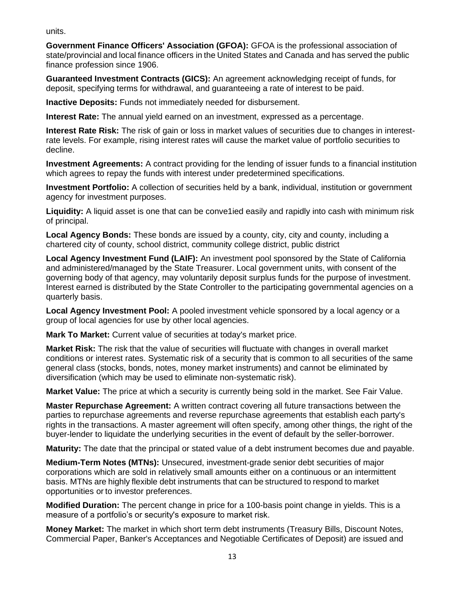units.

**Government Finance Officers' Association (GFOA):** GFOA is the professional association of state/provincial and local finance officers in the United States and Canada and has served the public finance profession since 1906.

**Guaranteed Investment Contracts (GICS):** An agreement acknowledging receipt of funds, for deposit, specifying terms for withdrawal, and guaranteeing a rate of interest to be paid.

**Inactive Deposits:** Funds not immediately needed for disbursement.

**Interest Rate:** The annual yield earned on an investment, expressed as a percentage.

**Interest Rate Risk:** The risk of gain or loss in market values of securities due to changes in interestrate levels. For example, rising interest rates will cause the market value of portfolio securities to decline.

**Investment Agreements:** A contract providing for the lending of issuer funds to a financial institution which agrees to repay the funds with interest under predetermined specifications.

**Investment Portfolio:** A collection of securities held by a bank, individual, institution or government agency for investment purposes.

Liquidity: A liquid asset is one that can be conve<sup>t</sup> ied easily and rapidly into cash with minimum risk of principal.

**Local Agency Bonds:** These bonds are issued by a county, city, city and county, including a chartered city of county, school district, community college district, public district

**Local Agency Investment Fund (LAIF):** An investment pool sponsored by the State of California and administered/managed by the State Treasurer. Local government units, with consent of the governing body of that agency, may voluntarily deposit surplus funds for the purpose of investment. Interest earned is distributed by the State Controller to the participating governmental agencies on a quarterly basis.

**Local Agency Investment Pool:** A pooled investment vehicle sponsored by a local agency or a group of local agencies for use by other local agencies.

**Mark To Market:** Current value of securities at today's market price.

**Market Risk:** The risk that the value of securities will fluctuate with changes in overall market conditions or interest rates. Systematic risk of a security that is common to all securities of the same general class (stocks, bonds, notes, money market instruments) and cannot be eliminated by diversification (which may be used to eliminate non-systematic risk).

**Market Value:** The price at which a security is currently being sold in the market. See Fair Value.

**Master Repurchase Agreement:** A written contract covering all future transactions between the parties to repurchase agreements and reverse repurchase agreements that establish each party's rights in the transactions. A master agreement will often specify, among other things, the right of the buyer-lender to liquidate the underlying securities in the event of default by the seller-borrower.

**Maturity:** The date that the principal or stated value of a debt instrument becomes due and payable.

**Medium-Term Notes (MTNs):** Unsecured, investment-grade senior debt securities of major corporations which are sold in relatively small amounts either on a continuous or an intermittent basis. MTNs are highly flexible debt instruments that can be structured to respond to market opportunities or to investor preferences.

**Modified Duration:** The percent change in price for a 100-basis point change in yields. This is a measure of a portfolio's or security's exposure to market risk.

**Money Market:** The market in which short term debt instruments (Treasury Bills, Discount Notes, Commercial Paper, Banker's Acceptances and Negotiable Certificates of Deposit) are issued and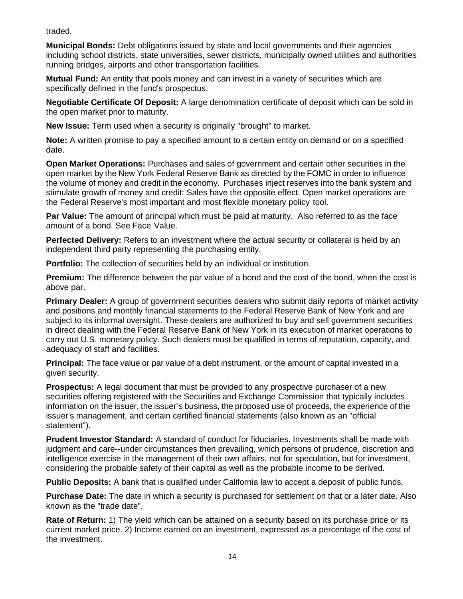traded.

**Municipal Bonds:** Debt obligations issued by state and local governments and their agencies including school districts, state universities, sewer districts, municipally owned utilities and authorities running bridges, airports and other transportation facilities.

**Mutual Fund:** An entity that pools money and can invest in a variety of securities which are specifically defined in the fund's prospectus.

**Negotiable Certificate Of Deposit:** A large denomination certificate of deposit which can be sold in the open market prior to maturity.

**New Issue:** Term used when a security is originally "brought" to market.

**Note:** A written promise to pay a specified amount to a certain entity on demand or on a specified date.

**Open Market Operations:** Purchases and sales of government and certain other securities in the open market by the New York Federal Reserve Bank as directed by the FOMC in order to influence the volume of money and credit in the economy. Purchases inject reserves into the bank system and stimulate growth of money and credit: Sales have the opposite effect. Open market operations are the Federal Reserve's most important and most flexible monetary policy tool.

**Par Value:** The amount of principal which must be paid at maturity. Also referred to as the face amount of a bond. See Face Value.

**Perfected Delivery:** Refers to an investment where the actual security or collateral is held by an independent third party representing the purchasing entity.

**Portfolio:** The collection of securities held by an individual or institution.

**Premium:** The difference between the par value of a bond and the cost of the bond, when the cost is above par.

**Primary Dealer:** A group of government securities dealers who submit daily reports of market activity and positions and monthly financial statements to the Federal Reserve Bank of New York and are subject to its informal oversight. These dealers are authorized to buy and sell government securities in direct dealing with the Federal Reserve Bank of New York in its execution of market operations to carry out U.S. monetary policy. Such dealers must be qualified in terms of reputation, capacity, and adequacy of staff and facilities.

**Principal:** The face value or par value of a debt instrument, or the amount of capital invested in a given security.

**Prospectus:** A legal document that must be provided to any prospective purchaser of a new securities offering registered with the Securities and Exchange Commission that typically includes information on the issuer, the issuer's business, the proposed use of proceeds, the experience of the issuer's management, and certain certified financial statements (also known as an "official statement").

**Prudent Investor Standard:** A standard of conduct for fiduciaries. Investments shall be made with judgment and care--under circumstances then prevailing, which persons of prudence, discretion and intelligence exercise in the management of their own affairs, not for speculation, but for investment, considering the probable safety of their capital as well as the probable income to be derived.

**Public Deposits:** A bank that is qualified under California law to accept a deposit of public funds.

**Purchase Date:** The date in which a security is purchased for settlement on that or a later date. Also known as the "trade date".

**Rate of Return:** 1) The yield which can be attained on a security based on its purchase price or its current market price. 2) Income earned on an investment, expressed as a percentage of the cost of the investment.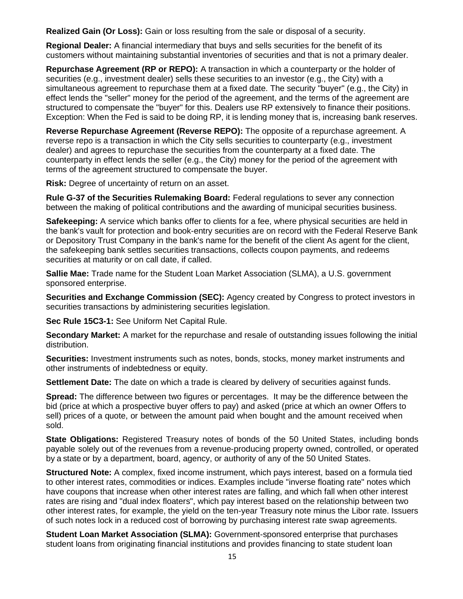**Realized Gain (Or Loss):** Gain or loss resulting from the sale or disposal of a security.

**Regional Dealer:** A financial intermediary that buys and sells securities for the benefit of its customers without maintaining substantial inventories of securities and that is not a primary dealer.

**Repurchase Agreement (RP or REPO):** A transaction in which a counterparty or the holder of securities (e.g., investment dealer) sells these securities to an investor (e.g., the City) with a simultaneous agreement to repurchase them at a fixed date. The security "buyer" (e.g., the City) in effect lends the "seller" money for the period of the agreement, and the terms of the agreement are structured to compensate the "buyer" for this. Dealers use RP extensively to finance their positions. Exception: When the Fed is said to be doing RP, it is lending money that is, increasing bank reserves.

**Reverse Repurchase Agreement (Reverse REPO):** The opposite of a repurchase agreement. A reverse repo is a transaction in which the City sells securities to counterparty (e.g., investment dealer) and agrees to repurchase the securities from the counterparty at a fixed date. The counterparty in effect lends the seller (e.g., the City) money for the period of the agreement with terms of the agreement structured to compensate the buyer.

**Risk:** Degree of uncertainty of return on an asset.

**Rule G-37 of the Securities Rulemaking Board:** Federal regulations to sever any connection between the making of political contributions and the awarding of municipal securities business.

**Safekeeping:** A service which banks offer to clients for a fee, where physical securities are held in the bank's vault for protection and book-entry securities are on record with the Federal Reserve Bank or Depository Trust Company in the bank's name for the benefit of the client As agent for the client, the safekeeping bank settles securities transactions, collects coupon payments, and redeems securities at maturity or on call date, if called.

**Sallie Mae:** Trade name for the Student Loan Market Association (SLMA), a U.S. government sponsored enterprise.

**Securities and Exchange Commission (SEC):** Agency created by Congress to protect investors in securities transactions by administering securities legislation.

**Sec Rule 15C3-1:** See Uniform Net Capital Rule.

**Secondary Market:** A market for the repurchase and resale of outstanding issues following the initial distribution.

**Securities:** Investment instruments such as notes, bonds, stocks, money market instruments and other instruments of indebtedness or equity.

**Settlement Date:** The date on which a trade is cleared by delivery of securities against funds.

**Spread:** The difference between two figures or percentages. It may be the difference between the bid (price at which a prospective buyer offers to pay) and asked (price at which an owner Offers to sell) prices of a quote, or between the amount paid when bought and the amount received when sold.

**State Obligations:** Registered Treasury notes of bonds of the 50 United States, including bonds payable solely out of the revenues from a revenue-producing property owned, controlled, or operated by a state or by a department, board, agency, or authority of any of the 50 United States.

**Structured Note:** A complex, fixed income instrument, which pays interest, based on a formula tied to other interest rates, commodities or indices. Examples include "inverse floating rate" notes which have coupons that increase when other interest rates are falling, and which fall when other interest rates are rising and "dual index floaters", which pay interest based on the relationship between two other interest rates, for example, the yield on the ten-year Treasury note minus the Libor rate. Issuers of such notes lock in a reduced cost of borrowing by purchasing interest rate swap agreements.

**Student Loan Market Association (SLMA):** Government-sponsored enterprise that purchases student loans from originating financial institutions and provides financing to state student loan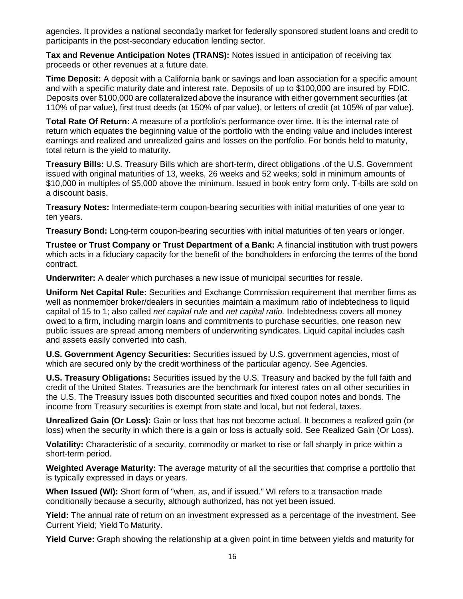agencies. It provides a national seconda1y market for federally sponsored student loans and credit to participants in the post-secondary education lending sector.

**Tax and Revenue Anticipation Notes (TRANS):** Notes issued in anticipation of receiving tax proceeds or other revenues at a future date.

**Time Deposit:** A deposit with a California bank or savings and loan association for a specific amount and with a specific maturity date and interest rate. Deposits of up to \$100,000 are insured by FDIC. Deposits over \$100,000 are collateralized above the insurance with either government securities (at 110% of par value), first trust deeds (at 150% of par value), or letters of credit (at 105% of par value).

**Total Rate Of Return:** A measure of a portfolio's performance over time. It is the internal rate of return which equates the beginning value of the portfolio with the ending value and includes interest earnings and realized and unrealized gains and losses on the portfolio. For bonds held to maturity, total return is the yield to maturity.

**Treasury Bills:** U.S. Treasury Bills which are short-term, direct obligations .of the U.S. Government issued with original maturities of 13, weeks, 26 weeks and 52 weeks; sold in minimum amounts of \$10,000 in multiples of \$5,000 above the minimum. Issued in book entry form only. T-bills are sold on a discount basis.

**Treasury Notes:** Intermediate-term coupon-bearing securities with initial maturities of one year to ten years.

**Treasury Bond:** Long-term coupon-bearing securities with initial maturities of ten years or longer.

**Trustee or Trust Company or Trust Department of a Bank:** A financial institution with trust powers which acts in a fiduciary capacity for the benefit of the bondholders in enforcing the terms of the bond contract.

**Underwriter:** A dealer which purchases a new issue of municipal securities for resale.

**Uniform Net Capital Rule:** Securities and Exchange Commission requirement that member firms as well as nonmember broker/dealers in securities maintain a maximum ratio of indebtedness to liquid capital of 15 to 1; also called *net capital rule* and *net capital ratio.* Indebtedness covers all money owed to a firm, including margin loans and commitments to purchase securities, one reason new public issues are spread among members of underwriting syndicates. Liquid capital includes cash and assets easily converted into cash.

**U.S. Government Agency Securities:** Securities issued by U.S. government agencies, most of which are secured only by the credit worthiness of the particular agency. See Agencies.

**U.S. Treasury Obligations:** Securities issued by the U.S. Treasury and backed by the full faith and credit of the United States. Treasuries are the benchmark for interest rates on all other securities in the U.S. The Treasury issues both discounted securities and fixed coupon notes and bonds. The income from Treasury securities is exempt from state and local, but not federal, taxes.

**Unrealized Gain (Or Loss):** Gain or loss that has not become actual. It becomes a realized gain (or loss) when the security in which there is a gain or loss is actually sold. See Realized Gain (Or Loss).

**Volatility:** Characteristic of a security, commodity or market to rise or fall sharply in price within a short-term period.

**Weighted Average Maturity:** The average maturity of all the securities that comprise a portfolio that is typically expressed in days or years.

**When Issued (WI):** Short form of "when, as, and if issued." WI refers to a transaction made conditionally because a security, although authorized, has not yet been issued.

**Yield:** The annual rate of return on an investment expressed as a percentage of the investment. See Current Yield; Yield To Maturity.

**Yield Curve:** Graph showing the relationship at a given point in time between yields and maturity for